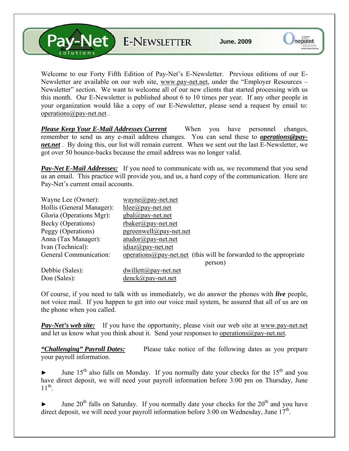V-Net E-NEWSLETTER

Welcome to our Forty Fifth Edition of Pay-Net's E-Newsletter. Previous editions of our E-Newsletter are available on our web site, [www.pay-net.net](http://www.pay-net.net/), under the "Employer Resources – Newsletter" section. We want to welcome all of our new clients that started processing with us this month. Our E-Newsletter is published about 6 to 10 times per year. If any other people in your organization would like a copy of our E-Newsletter, please send a request by email to: [operations@pay-net.net](mailto:operations@pay-net.net) .

*Please Keep Your E-Mail Addresses Current* When you have personnel changes, remember to send us any e-mail address changes. You can send these to *[operations@pay](mailto:operations@pay-net.net)[net.net](mailto:operations@pay-net.net)* . By doing this, our list will remain current. When we sent out the last E-Newsletter, we got over 50 bounce-backs because the email address was no longer valid.

**Pay-Net E-Mail Addresses:** If you need to communicate with us, we recommend that you send us an email. This practice will provide you, and us, a hard copy of the communication. Here are Pay-Net's current email accounts.

| Wayne Lee (Owner):        | $wayne@pay-net.net$                                                        |
|---------------------------|----------------------------------------------------------------------------|
| Hollis (General Manager): | $hlee(\partial p$ ay-net.net                                               |
| Gloria (Operations Mgr):  | $gbal(\partial \rho)$ ay-net.net                                           |
| Becky (Operations)        | $r$ baker@pay-net.net                                                      |
| Peggy (Operations)        | $pgreenvell@pay-net.net$                                                   |
| Anna (Tax Manager):       | $atudor@pay-net.net$                                                       |
| Ivan (Technical):         | $idiaz(\partial p$ ay-net.net                                              |
| General Communication:    | operations $\omega$ pay-net net (this will be forwarded to the appropriate |
|                           | person)                                                                    |
| Debbie (Sales):           | $dwillett@pay-net.net$                                                     |
| Don (Sales):              | $denck@pay-net.net$                                                        |

Of course, if you need to talk with us immediately, we do answer the phones with *live* people, not voice mail. If you happen to get into our voice mail system, be assured that all of us are on the phone when you called.

*Pay-Net's web site:* If you have the opportunity, please visit our web site at [www.pay-net.net](http://www.pay-net.net/)  and let us know what you think about it. Send your responses to [operations@pay-net.net](mailto:website@pay-net.net).

*"Challenging" Payroll Dates:* Please take notice of the following dates as you prepare your payroll information.

June  $15<sup>th</sup>$  also falls on Monday. If you normally date your checks for the  $15<sup>th</sup>$  and you have direct deposit, we will need your payroll information before 3:00 pm on Thursday, June  $11^{th}$ .

June  $20<sup>th</sup>$  falls on Saturday. If you normally date your checks for the  $20<sup>th</sup>$  and you have direct deposit, we will need your payroll information before 3:00 on Wednesday, June  $17<sup>th</sup>$ .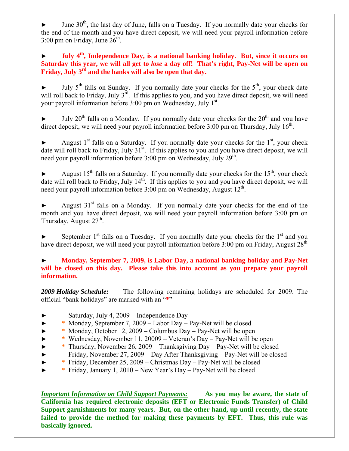June  $30<sup>th</sup>$ , the last day of June, falls on a Tuesday. If you normally date your checks for the end of the month and you have direct deposit, we will need your payroll information before 3:00 pm on Friday, June  $26<sup>th</sup>$ .

► **July 4th, Independence Day, is a national banking holiday. But, since it occurs on Saturday this year, we will all get to** *lose* **a day off! That's right, Pay-Net will be open on Friday, July 3rd and the banks will also be open that day.**

July  $5<sup>th</sup>$  falls on Sunday. If you normally date your checks for the  $5<sup>th</sup>$ , your check date will roll back to Friday, July 3<sup>rd</sup>. If this applies to you, and you have direct deposit, we will need your payroll information before 3:00 pm on Wednesday, July 1<sup>st</sup>.

July  $20^{th}$  falls on a Monday. If you normally date your checks for the  $20^{th}$  and you have direct deposit, we will need your payroll information before  $3:00$  pm on Thursday, July  $16^{th}$ .

August  $1<sup>st</sup>$  falls on a Saturday. If you normally date your checks for the  $1<sup>st</sup>$ , your check date will roll back to Friday, July 31<sup>st</sup>. If this applies to you and you have direct deposit, we will need your payroll information before 3:00 pm on Wednesday, July 29<sup>th</sup>.

August  $15<sup>th</sup>$  falls on a Saturday. If you normally date your checks for the  $15<sup>th</sup>$ , your check date will roll back to Friday, July  $14<sup>th</sup>$ . If this applies to you and you have direct deposit, we will need your payroll information before  $3:00$  pm on Wednesday, August  $12<sup>th</sup>$ .

August  $31<sup>st</sup>$  falls on a Monday. If you normally date your checks for the end of the month and you have direct deposit, we will need your payroll information before 3:00 pm on Thursday, August  $27<sup>th</sup>$ .

September  $1<sup>st</sup>$  falls on a Tuesday. If you normally date your checks for the  $1<sup>st</sup>$  and you have direct deposit, we will need your payroll information before  $3:00$  pm on Friday, August  $28<sup>th</sup>$ 

## ► **Monday, September 7, 2009, is Labor Day, a national banking holiday and Pay-Net will be closed on this day. Please take this into account as you prepare your payroll information.**

*2009 Holiday Schedule:* The following remaining holidays are scheduled for 2009. The official "bank holidays" are marked with an "**\***"

- Saturday, July 4, 2009 Independence Day
- ► **\*** Monday, September 7, 2009 Labor Day Pay-Net will be closed
- ► **\*** Monday, October 12, 2009 Columbus Day Pay-Net will be open
- ► **\*** Wednesday, November 11, 20009 Veteran's Day Pay-Net will be open
- ► **\*** Thursday, November 26, 2009 Thanksgiving Day Pay-Net will be closed
- ► Friday, November 27, 2009 Day After Thanksgiving Pay-Net will be closed
- ► **\*** Friday, December 25, 2009 Christmas Day Pay-Net will be closed
- ► **\*** Friday, January 1, 2010 New Year's Day Pay-Net will be closed

*Important Information on Child Support Payments:* **As you may be aware, the state of California has required electronic deposits (EFT or Electronic Funds Transfer) of Child Support garnishments for many years. But, on the other hand, up until recently, the state failed to provide the method for making these payments by EFT. Thus, this rule was basically ignored.**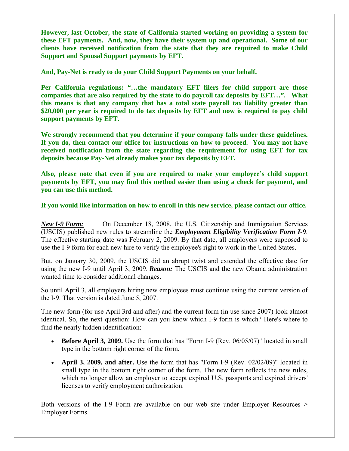**However, last October, the state of California started working on providing a system for these EFT payments. And, now, they have their system up and operational. Some of our clients have received notification from the state that they are required to make Child Support and Spousal Support payments by EFT.** 

**And, Pay-Net is ready to do your Child Support Payments on your behalf.** 

**Per California regulations: "…the mandatory EFT filers for child support are those companies that are also required by the state to do payroll tax deposits by EFT…". What this means is that any company that has a total state payroll tax liability greater than \$20,000 per year is required to do tax deposits by EFT and now is required to pay child support payments by EFT.** 

**We strongly recommend that you determine if your company falls under these guidelines. If you do, then contact our office for instructions on how to proceed. You may not have received notification from the state regarding the requirement for using EFT for tax deposits because Pay-Net already makes your tax deposits by EFT.** 

**Also, please note that even if you are required to make your employee's child support payments by EFT, you may find this method easier than using a check for payment, and you can use this method.** 

**If you would like information on how to enroll in this new service, please contact our office.** 

*New I-9 Form:* On December 18, 2008, the U.S. Citizenship and Immigration Services (USCIS) published new rules to streamline the *Employment Eligibility Verification Form I-9*. The effective starting date was February 2, 2009. By that date, all employers were supposed to use the I-9 form for each new hire to verify the employee's right to work in the United States.

But, on January 30, 2009, the USCIS did an abrupt twist and extended the effective date for using the new I-9 until April 3, 2009. *Reason:* The USCIS and the new Obama administration wanted time to consider additional changes.

So until April 3, all employers hiring new employees must continue using the current version of the I-9. That version is dated June 5, 2007.

The new form (for use April 3rd and after) and the current form (in use since 2007) look almost identical. So, the next question: How can you know which I-9 form is which? Here's where to find the nearly hidden identification:

- **Before April 3, 2009.** Use the form that has "Form I-9 (Rev. 06/05/07)" located in small type in the bottom right corner of the form.
- **April 3, 2009, and after.** Use the form that has "Form I-9 (Rev. 02/02/09)" located in small type in the bottom right corner of the form. The new form reflects the new rules, which no longer allow an employer to accept expired U.S. passports and expired drivers' licenses to verify employment authorization.

Both versions of the I-9 Form are available on our web site under Employer Resources > Employer Forms.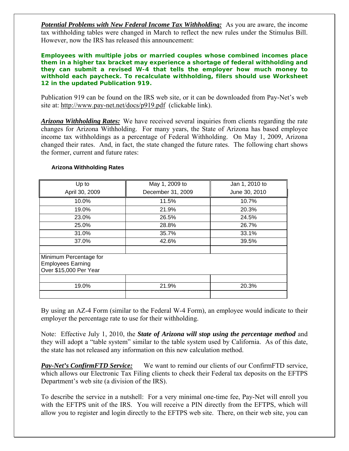**Potential Problems with New Federal Income Tax Withholding:** As you are aware, the income tax withholding tables were changed in March to reflect the new rules under the Stimulus Bill. However, now the IRS has released this announcement:

**Employees with multiple jobs or married couples whose combined incomes place them in a higher tax bracket may experience a shortage of federal withholding and they can submit a revised W-4 that tells the employer how much money to withhold each paycheck. To recalculate withholding, filers should use Worksheet 12 in the updated Publication 919.** 

Publication 919 can be found on the IRS web site, or it can be downloaded from Pay-Net's web site at: <http://www.pay-net.net/docs/p919.pdf>(clickable link).

*Arizona Withholding Rates:* We have received several inquiries from clients regarding the rate changes for Arizona Withholding. For many years, the State of Arizona has based employee income tax withholdings as a percentage of Federal Withholding. On May 1, 2009, Arizona changed their rates. And, in fact, the state changed the future rates. The following chart shows the former, current and future rates:

| Up to                                                                        | May 1, 2009 to    | Jan 1, 2010 to |
|------------------------------------------------------------------------------|-------------------|----------------|
| April 30, 2009                                                               | December 31, 2009 | June 30, 2010  |
| 10.0%                                                                        | 11.5%             | 10.7%          |
| 19.0%                                                                        | 21.9%             | 20.3%          |
| 23.0%                                                                        | 26.5%             | 24.5%          |
| 25.0%                                                                        | 28.8%             | 26.7%          |
| 31.0%                                                                        | 35.7%             | 33.1%          |
| 37.0%                                                                        | 42.6%             | 39.5%          |
| Minimum Percentage for<br><b>Employees Earning</b><br>Over \$15,000 Per Year |                   |                |
| 19.0%                                                                        | 21.9%             | 20.3%          |

## **Arizona Withholding Rates**

By using an AZ-4 Form (similar to the Federal W-4 Form), an employee would indicate to their employer the percentage rate to use for their withholding.

Note: Effective July 1, 2010, the *State of Arizona will stop using the percentage method* and they will adopt a "table system" similar to the table system used by California. As of this date, the state has not released any information on this new calculation method.

*Pay-Net's ConfirmFTD Service:* We want to remind our clients of our ConfirmFTD service, which allows our Electronic Tax Filing clients to check their Federal tax deposits on the EFTPS Department's web site (a division of the IRS).

To describe the service in a nutshell: For a very minimal one-time fee, Pay-Net will enroll you with the EFTPS unit of the IRS. You will receive a PIN directly from the EFTPS, which will allow you to register and login directly to the EFTPS web site. There, on their web site, you can